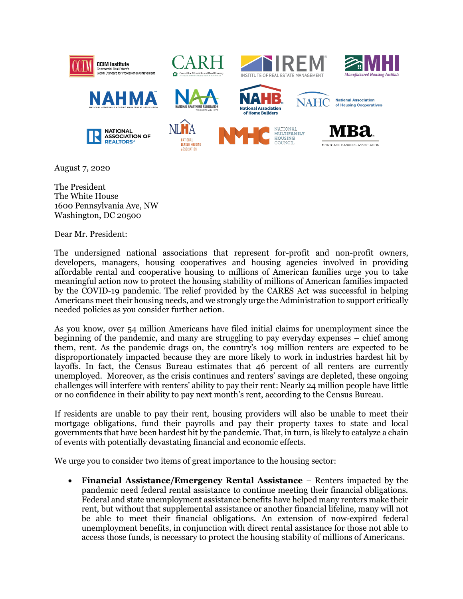

August 7, 2020

The President The White House 1600 Pennsylvania Ave, NW Washington, DC 20500

Dear Mr. President:

The undersigned national associations that represent for-profit and non-profit owners, developers, managers, housing cooperatives and housing agencies involved in providing affordable rental and cooperative housing to millions of American families urge you to take meaningful action now to protect the housing stability of millions of American families impacted by the COVID-19 pandemic. The relief provided by the CARES Act was successful in helping Americans meet their housing needs, and we strongly urge the Administration to support critically needed policies as you consider further action.

As you know, over 54 million Americans have filed initial claims for unemployment since the beginning of the pandemic, and many are struggling to pay everyday expenses – chief among them, rent. As the pandemic drags on, the country's 109 million renters are expected to be disproportionately impacted because they are more likely to work in industries hardest hit by layoffs. In fact, the Census Bureau estimates that 46 percent of all renters are currently unemployed. Moreover, as the crisis continues and renters' savings are depleted, these ongoing challenges will interfere with renters' ability to pay their rent: Nearly 24 million people have little or no confidence in their ability to pay next month's rent, according to the Census Bureau.

If residents are unable to pay their rent, housing providers will also be unable to meet their mortgage obligations, fund their payrolls and pay their property taxes to state and local governments that have been hardest hit by the pandemic. That, in turn, is likely to catalyze a chain of events with potentially devastating financial and economic effects.

We urge you to consider two items of great importance to the housing sector:

• **Financial Assistance/Emergency Rental Assistance** – Renters impacted by the pandemic need federal rental assistance to continue meeting their financial obligations. Federal and state unemployment assistance benefits have helped many renters make their rent, but without that supplemental assistance or another financial lifeline, many will not be able to meet their financial obligations. An extension of now-expired federal unemployment benefits, in conjunction with direct rental assistance for those not able to access those funds, is necessary to protect the housing stability of millions of Americans.